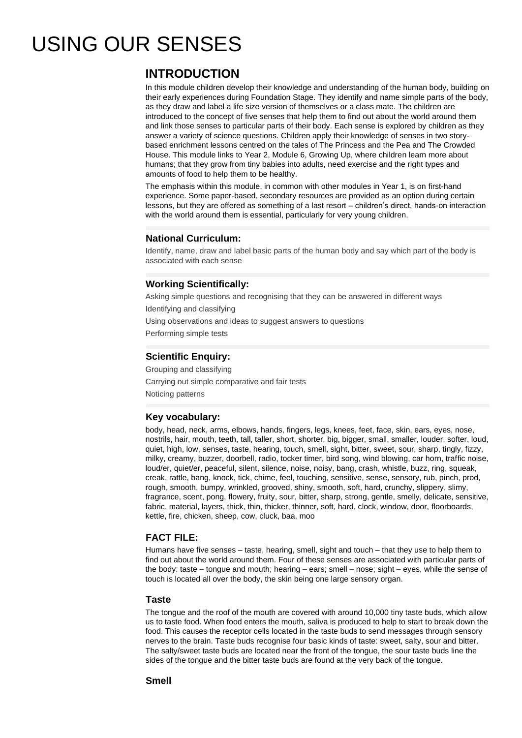# USING OUR SENSES

## **INTRODUCTION**

In this module children develop their knowledge and understanding of the human body, building on their early experiences during Foundation Stage. They identify and name simple parts of the body, as they draw and label a life size version of themselves or a class mate. The children are introduced to the concept of five senses that help them to find out about the world around them and link those senses to particular parts of their body. Each sense is explored by children as they answer a variety of science questions. Children apply their knowledge of senses in two storybased enrichment lessons centred on the tales of The Princess and the Pea and The Crowded House. This module links to Year 2, Module 6, Growing Up, where children learn more about humans; that they grow from tiny babies into adults, need exercise and the right types and amounts of food to help them to be healthy.

The emphasis within this module, in common with other modules in Year 1, is on first-hand experience. Some paper-based, secondary resources are provided as an option during certain lessons, but they are offered as something of a last resort – children's direct, hands-on interaction with the world around them is essential, particularly for very young children.

### **National Curriculum:**

Identify, name, draw and label basic parts of the human body and say which part of the body is associated with each sense

## **Working Scientifically:**

Asking simple questions and recognising that they can be answered in different ways Identifying and classifying Using observations and ideas to suggest answers to questions Performing simple tests

## **Scientific Enquiry:**

Grouping and classifying Carrying out simple comparative and fair tests Noticing patterns

### **Key vocabulary:**

body, head, neck, arms, elbows, hands, fingers, legs, knees, feet, face, skin, ears, eyes, nose, nostrils, hair, mouth, teeth, tall, taller, short, shorter, big, bigger, small, smaller, louder, softer, loud, quiet, high, low, senses, taste, hearing, touch, smell, sight, bitter, sweet, sour, sharp, tingly, fizzy, milky, creamy, buzzer, doorbell, radio, tocker timer, bird song, wind blowing, car horn, traffic noise, loud/er, quiet/er, peaceful, silent, silence, noise, noisy, bang, crash, whistle, buzz, ring, squeak, creak, rattle, bang, knock, tick, chime, feel, touching, sensitive, sense, sensory, rub, pinch, prod, rough, smooth, bumpy, wrinkled, grooved, shiny, smooth, soft, hard, crunchy, slippery, slimy, fragrance, scent, pong, flowery, fruity, sour, bitter, sharp, strong, gentle, smelly, delicate, sensitive, fabric, material, layers, thick, thin, thicker, thinner, soft, hard, clock, window, door, floorboards, kettle, fire, chicken, sheep, cow, cluck, baa, moo

## **FACT FILE:**

Humans have five senses – taste, hearing, smell, sight and touch – that they use to help them to find out about the world around them. Four of these senses are associated with particular parts of the body: taste – tongue and mouth; hearing – ears; smell – nose; sight – eyes, while the sense of touch is located all over the body, the skin being one large sensory organ.

#### **Taste**

The tongue and the roof of the mouth are covered with around 10,000 tiny taste buds, which allow us to taste food. When food enters the mouth, saliva is produced to help to start to break down the food. This causes the receptor cells located in the taste buds to send messages through sensory nerves to the brain. Taste buds recognise four basic kinds of taste: sweet, salty, sour and bitter. The salty/sweet taste buds are located near the front of the tongue, the sour taste buds line the sides of the tongue and the bitter taste buds are found at the very back of the tongue.

### **Smell**